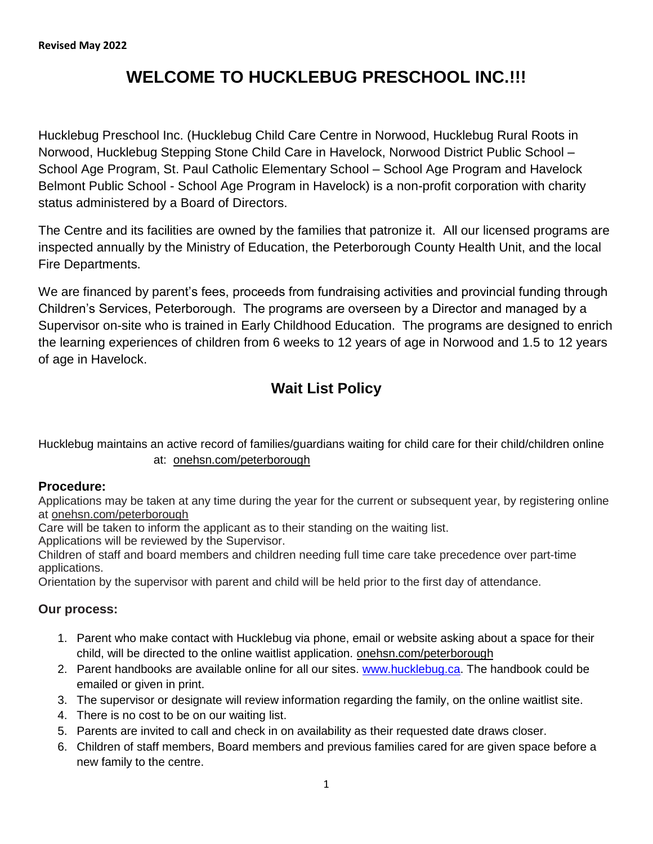# **WELCOME TO HUCKLEBUG PRESCHOOL INC.!!!**

Hucklebug Preschool Inc. (Hucklebug Child Care Centre in Norwood, Hucklebug Rural Roots in Norwood, Hucklebug Stepping Stone Child Care in Havelock, Norwood District Public School – School Age Program, St. Paul Catholic Elementary School – School Age Program and Havelock Belmont Public School - School Age Program in Havelock) is a non-profit corporation with charity status administered by a Board of Directors.

The Centre and its facilities are owned by the families that patronize it. All our licensed programs are inspected annually by the Ministry of Education, the Peterborough County Health Unit, and the local Fire Departments.

We are financed by parent's fees, proceeds from fundraising activities and provincial funding through Children"s Services, Peterborough. The programs are overseen by a Director and managed by a Supervisor on-site who is trained in Early Childhood Education. The programs are designed to enrich the learning experiences of children from 6 weeks to 12 years of age in Norwood and 1.5 to 12 years of age in Havelock.

# **Wait List Policy**

Hucklebug maintains an active record of families/guardians waiting for child care for their child/children online at: onehsn.com/peterborough

#### **Procedure:**

Applications may be taken at any time during the year for the current or subsequent year, by registering online at onehsn.com/peterborough

Care will be taken to inform the applicant as to their standing on the waiting list.

Applications will be reviewed by the Supervisor.

Children of staff and board members and children needing full time care take precedence over part-time applications.

Orientation by the supervisor with parent and child will be held prior to the first day of attendance.

#### **Our process:**

- 1. Parent who make contact with Hucklebug via phone, email or website asking about a space for their child, will be directed to the online waitlist application. onehsn.com/peterborough
- 2. Parent handbooks are available online for all our sites. [www.hucklebug.ca.](about:blank) The handbook could be emailed or given in print.
- 3. The supervisor or designate will review information regarding the family, on the online waitlist site.
- 4. There is no cost to be on our waiting list.
- 5. Parents are invited to call and check in on availability as their requested date draws closer.
- 6. Children of staff members, Board members and previous families cared for are given space before a new family to the centre.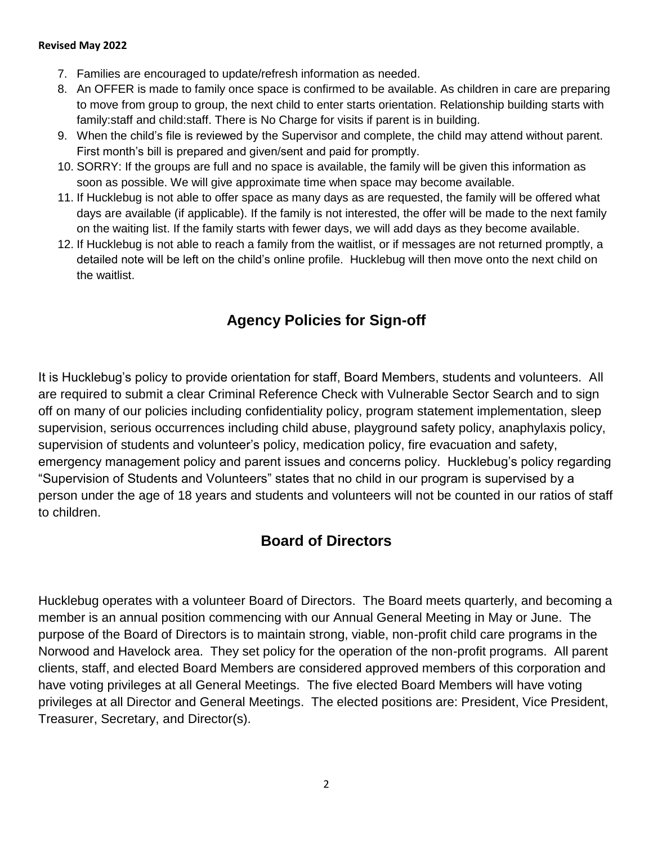- 7. Families are encouraged to update/refresh information as needed.
- 8. An OFFER is made to family once space is confirmed to be available. As children in care are preparing to move from group to group, the next child to enter starts orientation. Relationship building starts with family:staff and child:staff. There is No Charge for visits if parent is in building.
- 9. When the child"s file is reviewed by the Supervisor and complete, the child may attend without parent. First month's bill is prepared and given/sent and paid for promptly.
- 10. SORRY: If the groups are full and no space is available, the family will be given this information as soon as possible. We will give approximate time when space may become available.
- 11. If Hucklebug is not able to offer space as many days as are requested, the family will be offered what days are available (if applicable). If the family is not interested, the offer will be made to the next family on the waiting list. If the family starts with fewer days, we will add days as they become available.
- 12. If Hucklebug is not able to reach a family from the waitlist, or if messages are not returned promptly, a detailed note will be left on the child"s online profile. Hucklebug will then move onto the next child on the waitlist.

# **Agency Policies for Sign-off**

It is Hucklebug"s policy to provide orientation for staff, Board Members, students and volunteers. All are required to submit a clear Criminal Reference Check with Vulnerable Sector Search and to sign off on many of our policies including confidentiality policy, program statement implementation, sleep supervision, serious occurrences including child abuse, playground safety policy, anaphylaxis policy, supervision of students and volunteer's policy, medication policy, fire evacuation and safety, emergency management policy and parent issues and concerns policy. Hucklebug's policy regarding "Supervision of Students and Volunteers" states that no child in our program is supervised by a person under the age of 18 years and students and volunteers will not be counted in our ratios of staff to children.

## **Board of Directors**

Hucklebug operates with a volunteer Board of Directors. The Board meets quarterly, and becoming a member is an annual position commencing with our Annual General Meeting in May or June. The purpose of the Board of Directors is to maintain strong, viable, non-profit child care programs in the Norwood and Havelock area. They set policy for the operation of the non-profit programs. All parent clients, staff, and elected Board Members are considered approved members of this corporation and have voting privileges at all General Meetings. The five elected Board Members will have voting privileges at all Director and General Meetings. The elected positions are: President, Vice President, Treasurer, Secretary, and Director(s).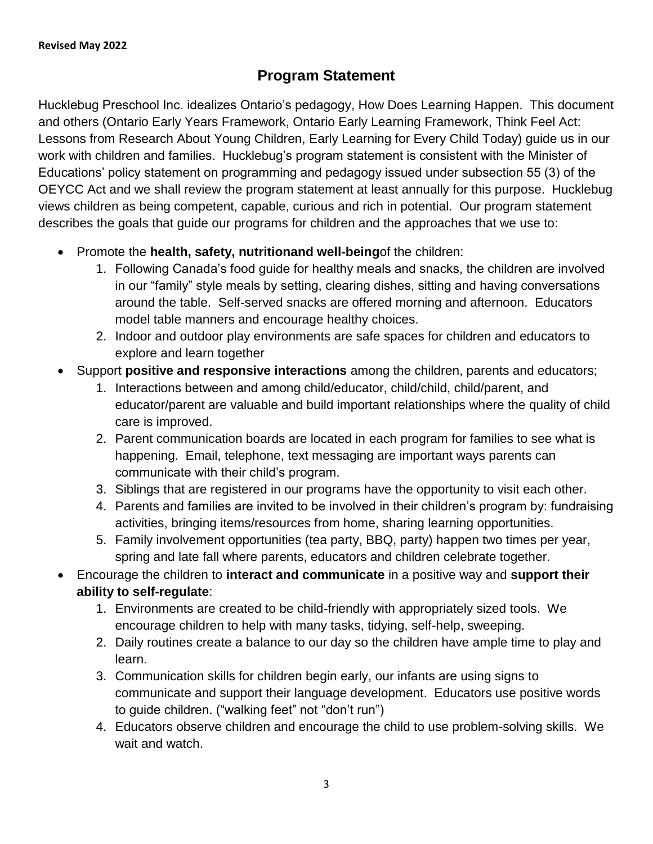# **Program Statement**

Hucklebug Preschool Inc. idealizes Ontario"s pedagogy, How Does Learning Happen. This document and others (Ontario Early Years Framework, Ontario Early Learning Framework, Think Feel Act: Lessons from Research About Young Children, Early Learning for Every Child Today) guide us in our work with children and families. Hucklebug's program statement is consistent with the Minister of Educations" policy statement on programming and pedagogy issued under subsection 55 (3) of the OEYCC Act and we shall review the program statement at least annually for this purpose. Hucklebug views children as being competent, capable, curious and rich in potential. Our program statement describes the goals that guide our programs for children and the approaches that we use to:

- Promote the **health, safety, nutritionand well-being**of the children:
	- 1. Following Canada"s food guide for healthy meals and snacks, the children are involved in our "family" style meals by setting, clearing dishes, sitting and having conversations around the table. Self-served snacks are offered morning and afternoon. Educators model table manners and encourage healthy choices.
	- 2. Indoor and outdoor play environments are safe spaces for children and educators to explore and learn together
- Support **positive and responsive interactions** among the children, parents and educators;
	- 1. Interactions between and among child/educator, child/child, child/parent, and educator/parent are valuable and build important relationships where the quality of child care is improved.
	- 2. Parent communication boards are located in each program for families to see what is happening. Email, telephone, text messaging are important ways parents can communicate with their child"s program.
	- 3. Siblings that are registered in our programs have the opportunity to visit each other.
	- 4. Parents and families are invited to be involved in their children"s program by: fundraising activities, bringing items/resources from home, sharing learning opportunities.
	- 5. Family involvement opportunities (tea party, BBQ, party) happen two times per year, spring and late fall where parents, educators and children celebrate together.
- Encourage the children to **interact and communicate** in a positive way and **support their ability to self-regulate**:
	- 1. Environments are created to be child-friendly with appropriately sized tools. We encourage children to help with many tasks, tidying, self-help, sweeping.
	- 2. Daily routines create a balance to our day so the children have ample time to play and learn.
	- 3. Communication skills for children begin early, our infants are using signs to communicate and support their language development. Educators use positive words to guide children. ("walking feet" not "don"t run")
	- 4. Educators observe children and encourage the child to use problem-solving skills. We wait and watch.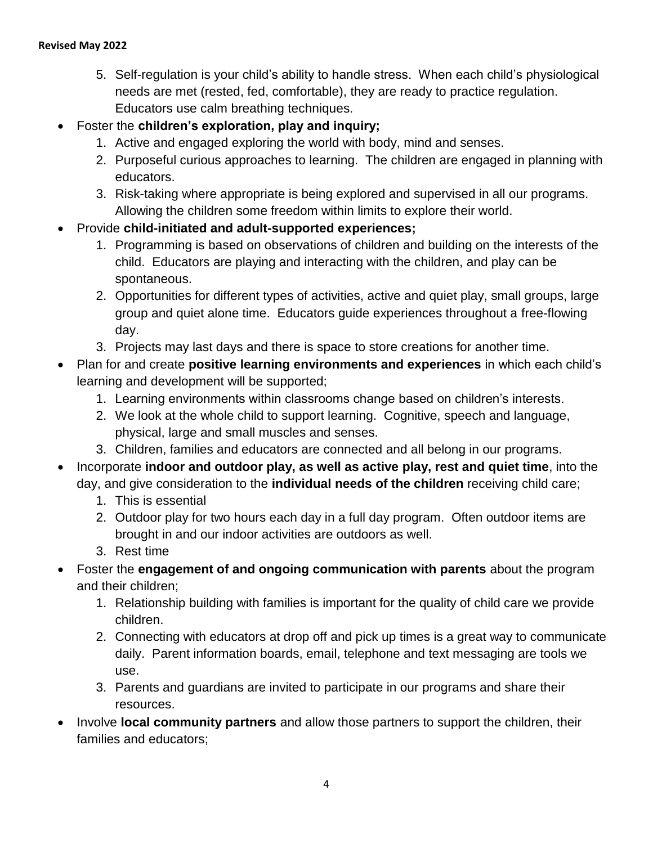- 5. Self-regulation is your child"s ability to handle stress. When each child"s physiological needs are met (rested, fed, comfortable), they are ready to practice regulation. Educators use calm breathing techniques.
- Foster the **children"s exploration, play and inquiry;**
	- 1. Active and engaged exploring the world with body, mind and senses.
	- 2. Purposeful curious approaches to learning. The children are engaged in planning with educators.
	- 3. Risk-taking where appropriate is being explored and supervised in all our programs. Allowing the children some freedom within limits to explore their world.
- Provide **child-initiated and adult-supported experiences;**
	- 1. Programming is based on observations of children and building on the interests of the child. Educators are playing and interacting with the children, and play can be spontaneous.
	- 2. Opportunities for different types of activities, active and quiet play, small groups, large group and quiet alone time. Educators guide experiences throughout a free-flowing day.
	- 3. Projects may last days and there is space to store creations for another time.
- Plan for and create **positive learning environments and experiences** in which each child"s learning and development will be supported;
	- 1. Learning environments within classrooms change based on children"s interests.
	- 2. We look at the whole child to support learning. Cognitive, speech and language, physical, large and small muscles and senses.
	- 3. Children, families and educators are connected and all belong in our programs.
- Incorporate **indoor and outdoor play, as well as active play, rest and quiet time**, into the day, and give consideration to the **individual needs of the children** receiving child care;
	- 1. This is essential
	- 2. Outdoor play for two hours each day in a full day program. Often outdoor items are brought in and our indoor activities are outdoors as well.
	- 3. Rest time
- Foster the **engagement of and ongoing communication with parents** about the program and their children;
	- 1. Relationship building with families is important for the quality of child care we provide children.
	- 2. Connecting with educators at drop off and pick up times is a great way to communicate daily. Parent information boards, email, telephone and text messaging are tools we use.
	- 3. Parents and guardians are invited to participate in our programs and share their resources.
- Involve **local community partners** and allow those partners to support the children, their families and educators;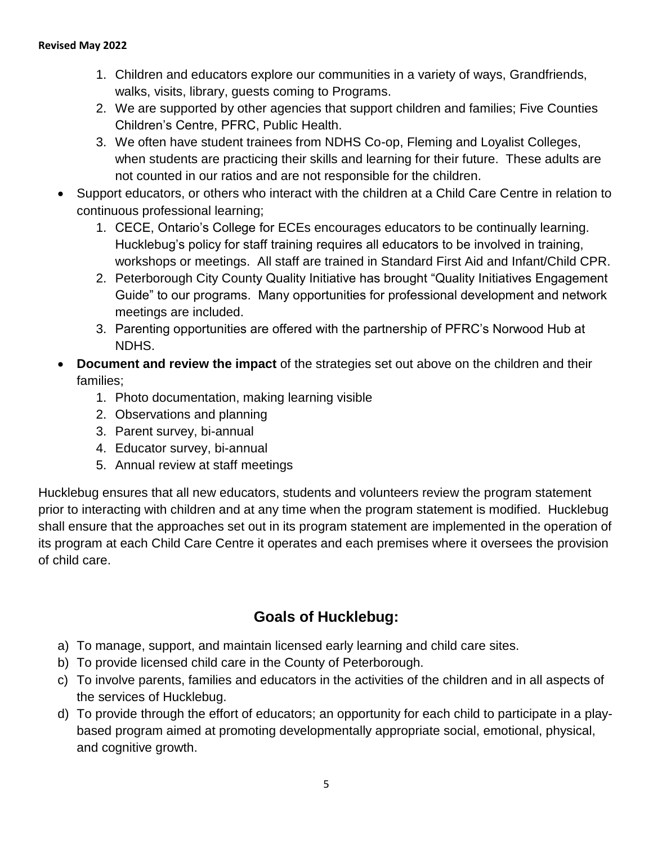- 1. Children and educators explore our communities in a variety of ways, Grandfriends, walks, visits, library, guests coming to Programs.
- 2. We are supported by other agencies that support children and families; Five Counties Children"s Centre, PFRC, Public Health.
- 3. We often have student trainees from NDHS Co-op, Fleming and Loyalist Colleges, when students are practicing their skills and learning for their future. These adults are not counted in our ratios and are not responsible for the children.
- Support educators, or others who interact with the children at a Child Care Centre in relation to continuous professional learning;
	- 1. CECE, Ontario"s College for ECEs encourages educators to be continually learning. Hucklebug"s policy for staff training requires all educators to be involved in training, workshops or meetings. All staff are trained in Standard First Aid and Infant/Child CPR.
	- 2. Peterborough City County Quality Initiative has brought "Quality Initiatives Engagement Guide" to our programs. Many opportunities for professional development and network meetings are included.
	- 3. Parenting opportunities are offered with the partnership of PFRC"s Norwood Hub at NDHS.
- **Document and review the impact** of the strategies set out above on the children and their families;
	- 1. Photo documentation, making learning visible
	- 2. Observations and planning
	- 3. Parent survey, bi-annual
	- 4. Educator survey, bi-annual
	- 5. Annual review at staff meetings

Hucklebug ensures that all new educators, students and volunteers review the program statement prior to interacting with children and at any time when the program statement is modified. Hucklebug shall ensure that the approaches set out in its program statement are implemented in the operation of its program at each Child Care Centre it operates and each premises where it oversees the provision of child care.

# **Goals of Hucklebug:**

- a) To manage, support, and maintain licensed early learning and child care sites.
- b) To provide licensed child care in the County of Peterborough.
- c) To involve parents, families and educators in the activities of the children and in all aspects of the services of Hucklebug.
- d) To provide through the effort of educators; an opportunity for each child to participate in a playbased program aimed at promoting developmentally appropriate social, emotional, physical, and cognitive growth.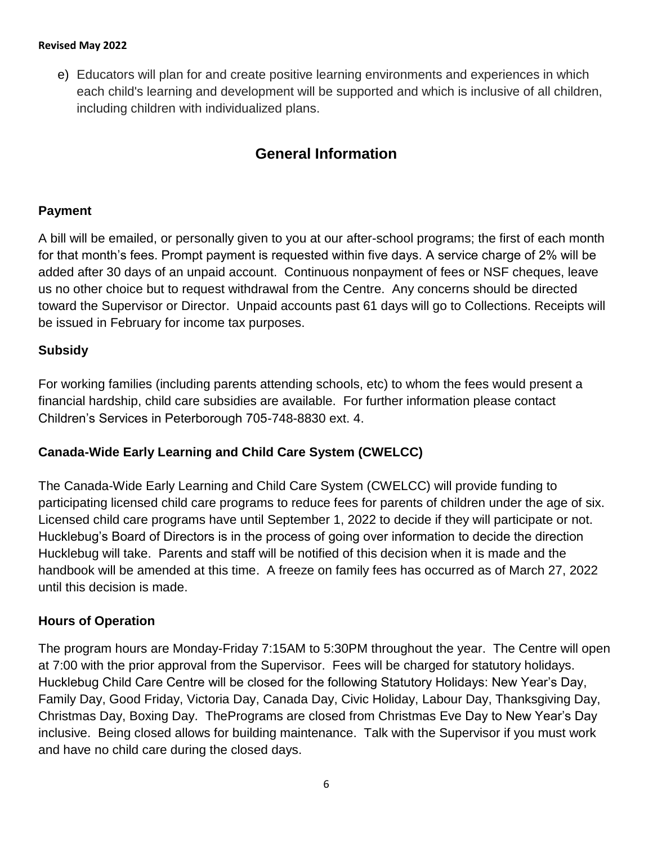e) Educators will plan for and create positive learning environments and experiences in which each child's learning and development will be supported and which is inclusive of all children, including children with individualized plans.

# **General Information**

### **Payment**

A bill will be emailed, or personally given to you at our after-school programs; the first of each month for that month's fees. Prompt payment is requested within five days. A service charge of 2% will be added after 30 days of an unpaid account. Continuous nonpayment of fees or NSF cheques, leave us no other choice but to request withdrawal from the Centre. Any concerns should be directed toward the Supervisor or Director. Unpaid accounts past 61 days will go to Collections. Receipts will be issued in February for income tax purposes.

### **Subsidy**

For working families (including parents attending schools, etc) to whom the fees would present a financial hardship, child care subsidies are available. For further information please contact Children"s Services in Peterborough 705-748-8830 ext. 4.

## **Canada-Wide Early Learning and Child Care System (CWELCC)**

The Canada-Wide Early Learning and Child Care System (CWELCC) will provide funding to participating licensed child care programs to reduce fees for parents of children under the age of six. Licensed child care programs have until September 1, 2022 to decide if they will participate or not. Hucklebug"s Board of Directors is in the process of going over information to decide the direction Hucklebug will take. Parents and staff will be notified of this decision when it is made and the handbook will be amended at this time. A freeze on family fees has occurred as of March 27, 2022 until this decision is made.

#### **Hours of Operation**

The program hours are Monday-Friday 7:15AM to 5:30PM throughout the year. The Centre will open at 7:00 with the prior approval from the Supervisor. Fees will be charged for statutory holidays. Hucklebug Child Care Centre will be closed for the following Statutory Holidays: New Year"s Day, Family Day, Good Friday, Victoria Day, Canada Day, Civic Holiday, Labour Day, Thanksgiving Day, Christmas Day, Boxing Day. ThePrograms are closed from Christmas Eve Day to New Year"s Day inclusive. Being closed allows for building maintenance. Talk with the Supervisor if you must work and have no child care during the closed days.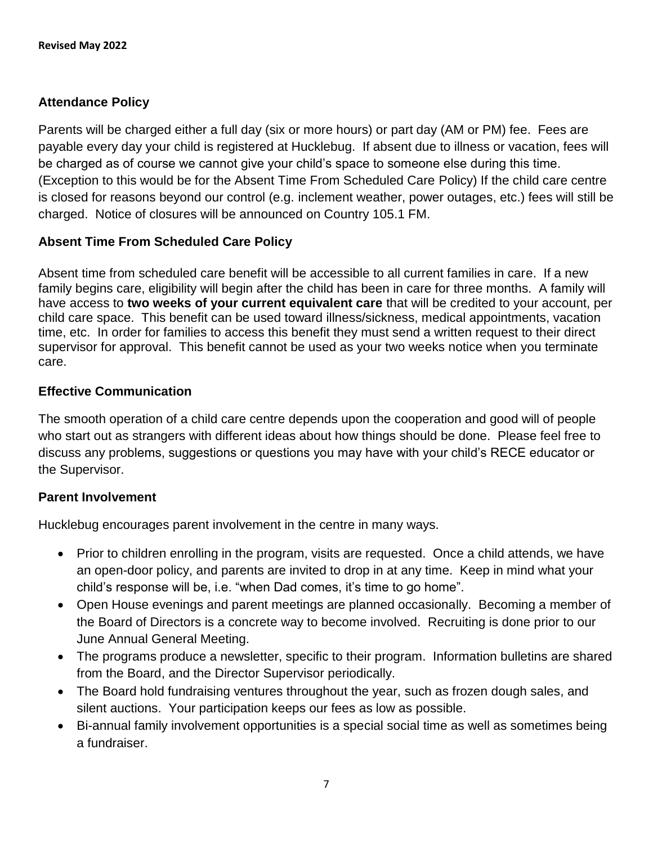## **Attendance Policy**

Parents will be charged either a full day (six or more hours) or part day (AM or PM) fee. Fees are payable every day your child is registered at Hucklebug. If absent due to illness or vacation, fees will be charged as of course we cannot give your child"s space to someone else during this time. (Exception to this would be for the Absent Time From Scheduled Care Policy) If the child care centre is closed for reasons beyond our control (e.g. inclement weather, power outages, etc.) fees will still be charged. Notice of closures will be announced on Country 105.1 FM.

## **Absent Time From Scheduled Care Policy**

Absent time from scheduled care benefit will be accessible to all current families in care. If a new family begins care, eligibility will begin after the child has been in care for three months. A family will have access to **two weeks of your current equivalent care** that will be credited to your account, per child care space. This benefit can be used toward illness/sickness, medical appointments, vacation time, etc. In order for families to access this benefit they must send a written request to their direct supervisor for approval. This benefit cannot be used as your two weeks notice when you terminate care.

## **Effective Communication**

The smooth operation of a child care centre depends upon the cooperation and good will of people who start out as strangers with different ideas about how things should be done. Please feel free to discuss any problems, suggestions or questions you may have with your child"s RECE educator or the Supervisor.

## **Parent Involvement**

Hucklebug encourages parent involvement in the centre in many ways.

- Prior to children enrolling in the program, visits are requested. Once a child attends, we have an open-door policy, and parents are invited to drop in at any time. Keep in mind what your child's response will be, i.e. "when Dad comes, it's time to go home".
- Open House evenings and parent meetings are planned occasionally. Becoming a member of the Board of Directors is a concrete way to become involved. Recruiting is done prior to our June Annual General Meeting.
- The programs produce a newsletter, specific to their program. Information bulletins are shared from the Board, and the Director Supervisor periodically.
- The Board hold fundraising ventures throughout the year, such as frozen dough sales, and silent auctions. Your participation keeps our fees as low as possible.
- Bi-annual family involvement opportunities is a special social time as well as sometimes being a fundraiser.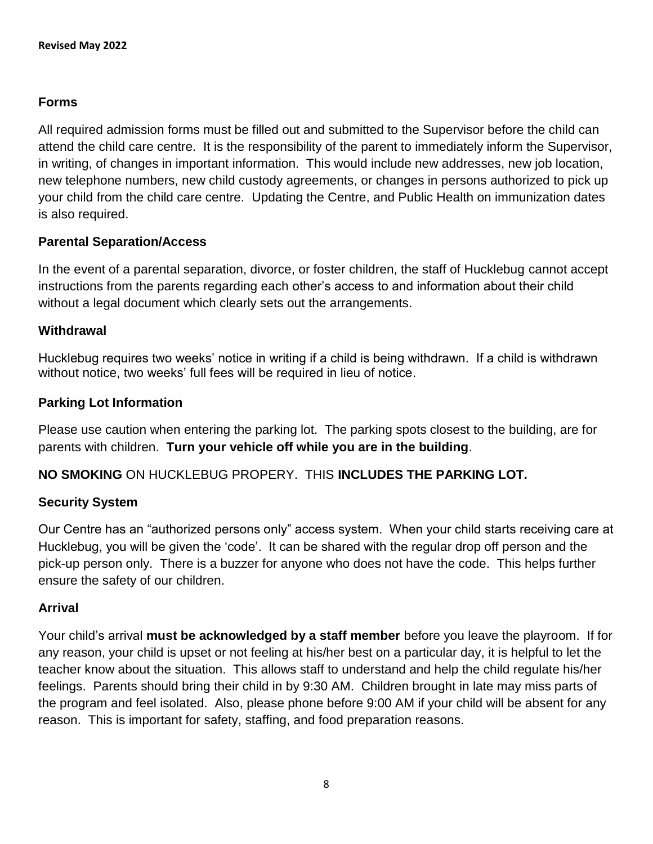## **Forms**

All required admission forms must be filled out and submitted to the Supervisor before the child can attend the child care centre. It is the responsibility of the parent to immediately inform the Supervisor, in writing, of changes in important information. This would include new addresses, new job location, new telephone numbers, new child custody agreements, or changes in persons authorized to pick up your child from the child care centre. Updating the Centre, and Public Health on immunization dates is also required.

## **Parental Separation/Access**

In the event of a parental separation, divorce, or foster children, the staff of Hucklebug cannot accept instructions from the parents regarding each other"s access to and information about their child without a legal document which clearly sets out the arrangements.

#### **Withdrawal**

Hucklebug requires two weeks' notice in writing if a child is being withdrawn. If a child is withdrawn without notice, two weeks' full fees will be required in lieu of notice.

### **Parking Lot Information**

Please use caution when entering the parking lot. The parking spots closest to the building, are for parents with children. **Turn your vehicle off while you are in the building**.

## **NO SMOKING** ON HUCKLEBUG PROPERY. THIS **INCLUDES THE PARKING LOT.**

#### **Security System**

Our Centre has an "authorized persons only" access system. When your child starts receiving care at Hucklebug, you will be given the "code". It can be shared with the regular drop off person and the pick-up person only. There is a buzzer for anyone who does not have the code. This helps further ensure the safety of our children.

#### **Arrival**

Your child"s arrival **must be acknowledged by a staff member** before you leave the playroom. If for any reason, your child is upset or not feeling at his/her best on a particular day, it is helpful to let the teacher know about the situation. This allows staff to understand and help the child regulate his/her feelings. Parents should bring their child in by 9:30 AM. Children brought in late may miss parts of the program and feel isolated. Also, please phone before 9:00 AM if your child will be absent for any reason. This is important for safety, staffing, and food preparation reasons.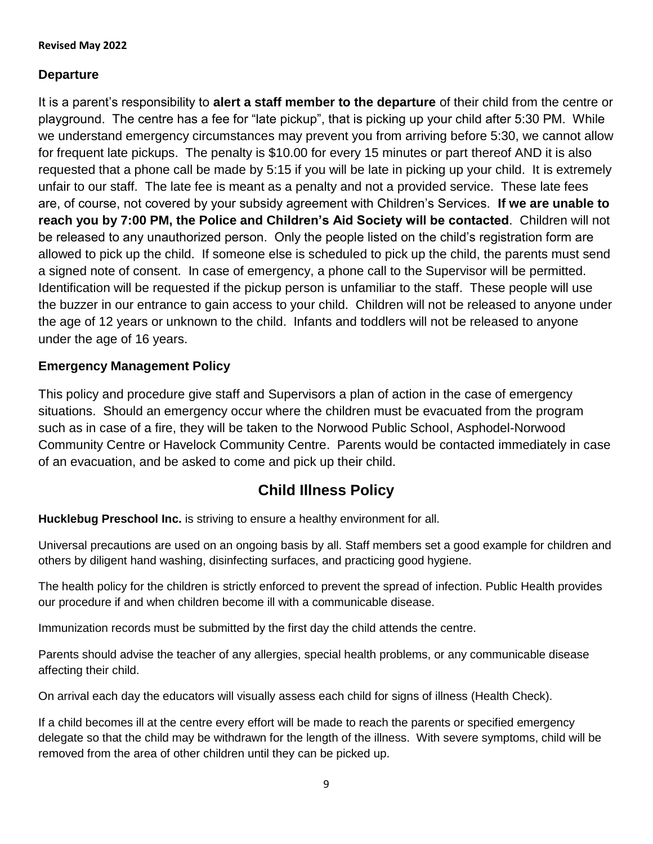### **Departure**

It is a parent"s responsibility to **alert a staff member to the departure** of their child from the centre or playground. The centre has a fee for "late pickup", that is picking up your child after 5:30 PM. While we understand emergency circumstances may prevent you from arriving before 5:30, we cannot allow for frequent late pickups. The penalty is \$10.00 for every 15 minutes or part thereof AND it is also requested that a phone call be made by 5:15 if you will be late in picking up your child. It is extremely unfair to our staff. The late fee is meant as a penalty and not a provided service. These late fees are, of course, not covered by your subsidy agreement with Children"s Services. **If we are unable to reach you by 7:00 PM, the Police and Children"s Aid Society will be contacted**. Children will not be released to any unauthorized person. Only the people listed on the child's registration form are allowed to pick up the child. If someone else is scheduled to pick up the child, the parents must send a signed note of consent. In case of emergency, a phone call to the Supervisor will be permitted. Identification will be requested if the pickup person is unfamiliar to the staff. These people will use the buzzer in our entrance to gain access to your child. Children will not be released to anyone under the age of 12 years or unknown to the child. Infants and toddlers will not be released to anyone under the age of 16 years.

### **Emergency Management Policy**

This policy and procedure give staff and Supervisors a plan of action in the case of emergency situations. Should an emergency occur where the children must be evacuated from the program such as in case of a fire, they will be taken to the Norwood Public School, Asphodel-Norwood Community Centre or Havelock Community Centre. Parents would be contacted immediately in case of an evacuation, and be asked to come and pick up their child.

## **Child Illness Policy**

**Hucklebug Preschool Inc.** is striving to ensure a healthy environment for all.

Universal precautions are used on an ongoing basis by all. Staff members set a good example for children and others by diligent hand washing, disinfecting surfaces, and practicing good hygiene.

The health policy for the children is strictly enforced to prevent the spread of infection. Public Health provides our procedure if and when children become ill with a communicable disease.

Immunization records must be submitted by the first day the child attends the centre.

Parents should advise the teacher of any allergies, special health problems, or any communicable disease affecting their child.

On arrival each day the educators will visually assess each child for signs of illness (Health Check).

If a child becomes ill at the centre every effort will be made to reach the parents or specified emergency delegate so that the child may be withdrawn for the length of the illness. With severe symptoms, child will be removed from the area of other children until they can be picked up.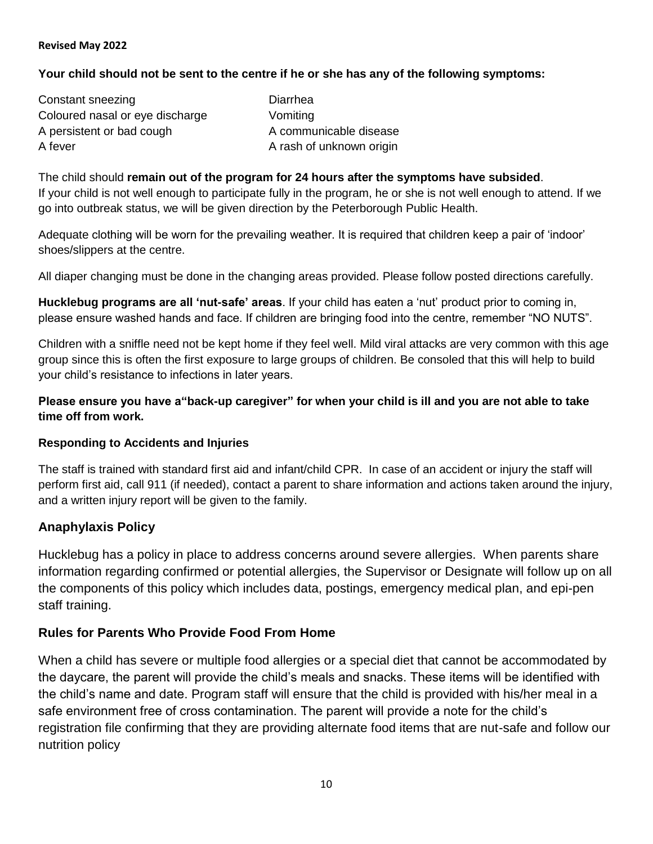#### **Your child should not be sent to the centre if he or she has any of the following symptoms:**

Constant sneezing Diarrhea Coloured nasal or eye discharge Vomiting A persistent or bad cough A communicable disease A fever A rash of unknown origin

The child should **remain out of the program for 24 hours after the symptoms have subsided**. If your child is not well enough to participate fully in the program, he or she is not well enough to attend. If we go into outbreak status, we will be given direction by the Peterborough Public Health.

Adequate clothing will be worn for the prevailing weather. It is required that children keep a pair of "indoor" shoes/slippers at the centre.

All diaper changing must be done in the changing areas provided. Please follow posted directions carefully.

**Hucklebug programs are all "nut-safe" areas**. If your child has eaten a "nut" product prior to coming in, please ensure washed hands and face. If children are bringing food into the centre, remember "NO NUTS".

Children with a sniffle need not be kept home if they feel well. Mild viral attacks are very common with this age group since this is often the first exposure to large groups of children. Be consoled that this will help to build your child"s resistance to infections in later years.

**Please ensure you have a"back-up caregiver" for when your child is ill and you are not able to take time off from work.**

#### **Responding to Accidents and Injuries**

The staff is trained with standard first aid and infant/child CPR. In case of an accident or injury the staff will perform first aid, call 911 (if needed), contact a parent to share information and actions taken around the injury, and a written injury report will be given to the family.

#### **Anaphylaxis Policy**

Hucklebug has a policy in place to address concerns around severe allergies. When parents share information regarding confirmed or potential allergies, the Supervisor or Designate will follow up on all the components of this policy which includes data, postings, emergency medical plan, and epi-pen staff training.

#### **Rules for Parents Who Provide Food From Home**

When a child has severe or multiple food allergies or a special diet that cannot be accommodated by the daycare, the parent will provide the child"s meals and snacks. These items will be identified with the child"s name and date. Program staff will ensure that the child is provided with his/her meal in a safe environment free of cross contamination. The parent will provide a note for the child"s registration file confirming that they are providing alternate food items that are nut-safe and follow our nutrition policy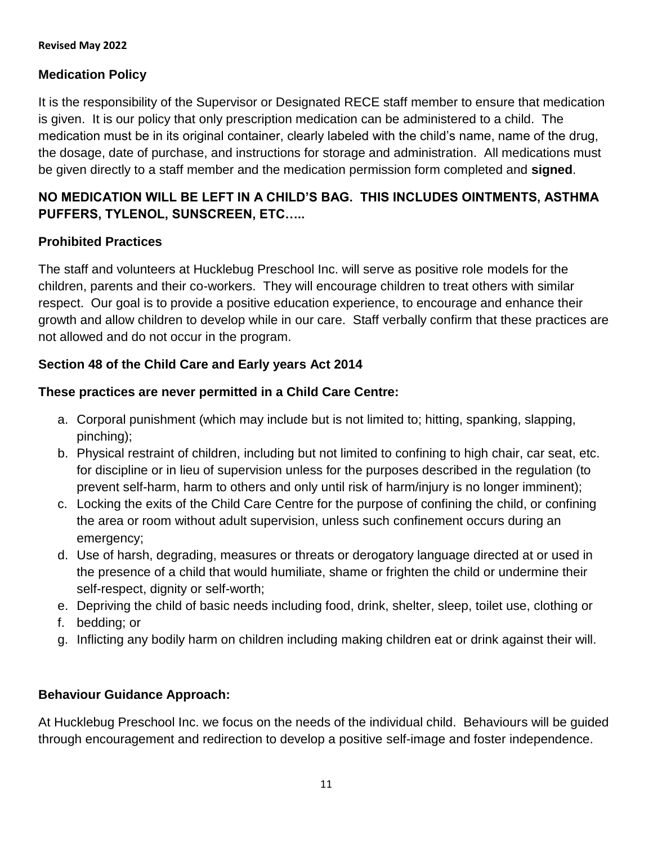## **Medication Policy**

It is the responsibility of the Supervisor or Designated RECE staff member to ensure that medication is given. It is our policy that only prescription medication can be administered to a child. The medication must be in its original container, clearly labeled with the child"s name, name of the drug, the dosage, date of purchase, and instructions for storage and administration. All medications must be given directly to a staff member and the medication permission form completed and **signed**.

## **NO MEDICATION WILL BE LEFT IN A CHILD"S BAG. THIS INCLUDES OINTMENTS, ASTHMA PUFFERS, TYLENOL, SUNSCREEN, ETC…..**

## **Prohibited Practices**

The staff and volunteers at Hucklebug Preschool Inc. will serve as positive role models for the children, parents and their co-workers. They will encourage children to treat others with similar respect. Our goal is to provide a positive education experience, to encourage and enhance their growth and allow children to develop while in our care. Staff verbally confirm that these practices are not allowed and do not occur in the program.

## **Section 48 of the Child Care and Early years Act 2014**

### **These practices are never permitted in a Child Care Centre:**

- a. Corporal punishment (which may include but is not limited to; hitting, spanking, slapping, pinching);
- b. Physical restraint of children, including but not limited to confining to high chair, car seat, etc. for discipline or in lieu of supervision unless for the purposes described in the regulation (to prevent self-harm, harm to others and only until risk of harm/injury is no longer imminent);
- c. Locking the exits of the Child Care Centre for the purpose of confining the child, or confining the area or room without adult supervision, unless such confinement occurs during an emergency;
- d. Use of harsh, degrading, measures or threats or derogatory language directed at or used in the presence of a child that would humiliate, shame or frighten the child or undermine their self-respect, dignity or self-worth;
- e. Depriving the child of basic needs including food, drink, shelter, sleep, toilet use, clothing or
- f. bedding; or
- g. Inflicting any bodily harm on children including making children eat or drink against their will.

## **Behaviour Guidance Approach:**

At Hucklebug Preschool Inc. we focus on the needs of the individual child. Behaviours will be guided through encouragement and redirection to develop a positive self-image and foster independence.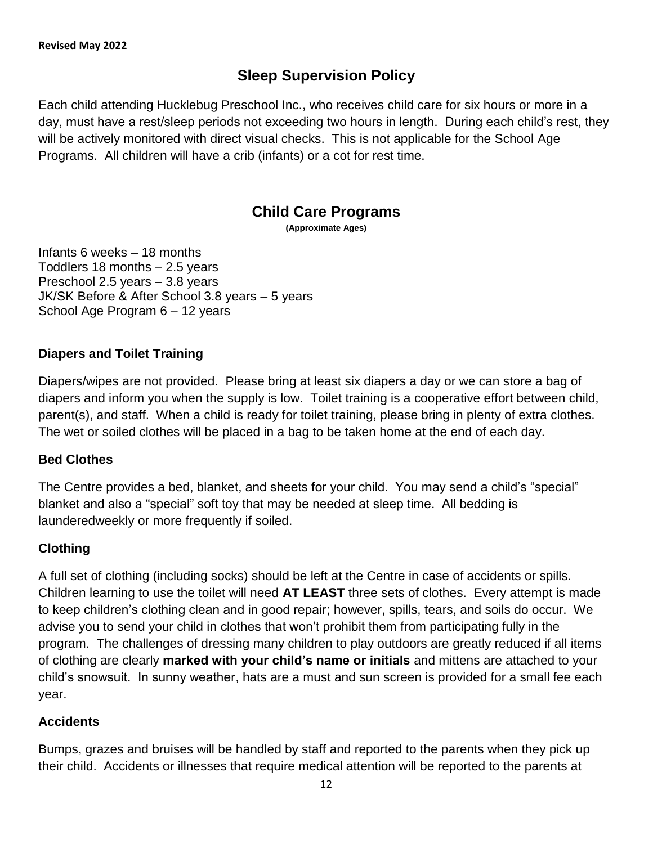# **Sleep Supervision Policy**

Each child attending Hucklebug Preschool Inc., who receives child care for six hours or more in a day, must have a rest/sleep periods not exceeding two hours in length. During each child"s rest, they will be actively monitored with direct visual checks. This is not applicable for the School Age Programs. All children will have a crib (infants) or a cot for rest time.

## **Child Care Programs**

**(Approximate Ages)**

Infants 6 weeks – 18 months Toddlers 18 months – 2.5 years Preschool 2.5 years – 3.8 years JK/SK Before & After School 3.8 years – 5 years School Age Program 6 – 12 years

## **Diapers and Toilet Training**

Diapers/wipes are not provided. Please bring at least six diapers a day or we can store a bag of diapers and inform you when the supply is low. Toilet training is a cooperative effort between child, parent(s), and staff. When a child is ready for toilet training, please bring in plenty of extra clothes. The wet or soiled clothes will be placed in a bag to be taken home at the end of each day.

#### **Bed Clothes**

The Centre provides a bed, blanket, and sheets for your child. You may send a child"s "special" blanket and also a "special" soft toy that may be needed at sleep time. All bedding is launderedweekly or more frequently if soiled.

## **Clothing**

A full set of clothing (including socks) should be left at the Centre in case of accidents or spills. Children learning to use the toilet will need **AT LEAST** three sets of clothes. Every attempt is made to keep children"s clothing clean and in good repair; however, spills, tears, and soils do occur. We advise you to send your child in clothes that won"t prohibit them from participating fully in the program. The challenges of dressing many children to play outdoors are greatly reduced if all items of clothing are clearly **marked with your child"s name or initials** and mittens are attached to your child"s snowsuit. In sunny weather, hats are a must and sun screen is provided for a small fee each year.

#### **Accidents**

Bumps, grazes and bruises will be handled by staff and reported to the parents when they pick up their child. Accidents or illnesses that require medical attention will be reported to the parents at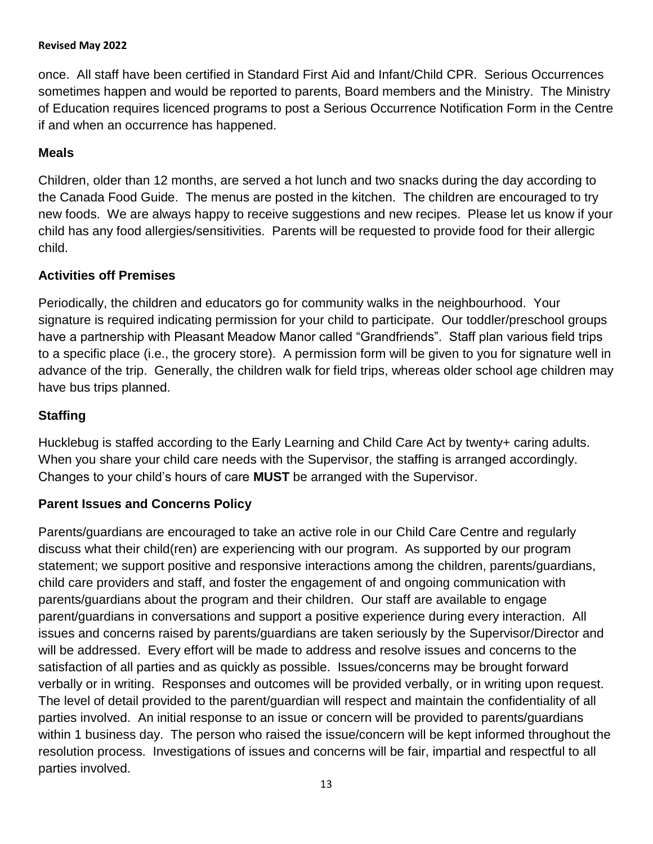once. All staff have been certified in Standard First Aid and Infant/Child CPR. Serious Occurrences sometimes happen and would be reported to parents, Board members and the Ministry. The Ministry of Education requires licenced programs to post a Serious Occurrence Notification Form in the Centre if and when an occurrence has happened.

### **Meals**

Children, older than 12 months, are served a hot lunch and two snacks during the day according to the Canada Food Guide. The menus are posted in the kitchen. The children are encouraged to try new foods. We are always happy to receive suggestions and new recipes. Please let us know if your child has any food allergies/sensitivities. Parents will be requested to provide food for their allergic child.

### **Activities off Premises**

Periodically, the children and educators go for community walks in the neighbourhood. Your signature is required indicating permission for your child to participate. Our toddler/preschool groups have a partnership with Pleasant Meadow Manor called "Grandfriends". Staff plan various field trips to a specific place (i.e., the grocery store). A permission form will be given to you for signature well in advance of the trip. Generally, the children walk for field trips, whereas older school age children may have bus trips planned.

### **Staffing**

Hucklebug is staffed according to the Early Learning and Child Care Act by twenty+ caring adults. When you share your child care needs with the Supervisor, the staffing is arranged accordingly. Changes to your child"s hours of care **MUST** be arranged with the Supervisor.

## **Parent Issues and Concerns Policy**

Parents/guardians are encouraged to take an active role in our Child Care Centre and regularly discuss what their child(ren) are experiencing with our program. As supported by our program statement; we support positive and responsive interactions among the children, parents/guardians, child care providers and staff, and foster the engagement of and ongoing communication with parents/guardians about the program and their children. Our staff are available to engage parent/guardians in conversations and support a positive experience during every interaction. All issues and concerns raised by parents/guardians are taken seriously by the Supervisor/Director and will be addressed. Every effort will be made to address and resolve issues and concerns to the satisfaction of all parties and as quickly as possible. Issues/concerns may be brought forward verbally or in writing. Responses and outcomes will be provided verbally, or in writing upon request. The level of detail provided to the parent/guardian will respect and maintain the confidentiality of all parties involved. An initial response to an issue or concern will be provided to parents/guardians within 1 business day. The person who raised the issue/concern will be kept informed throughout the resolution process. Investigations of issues and concerns will be fair, impartial and respectful to all parties involved.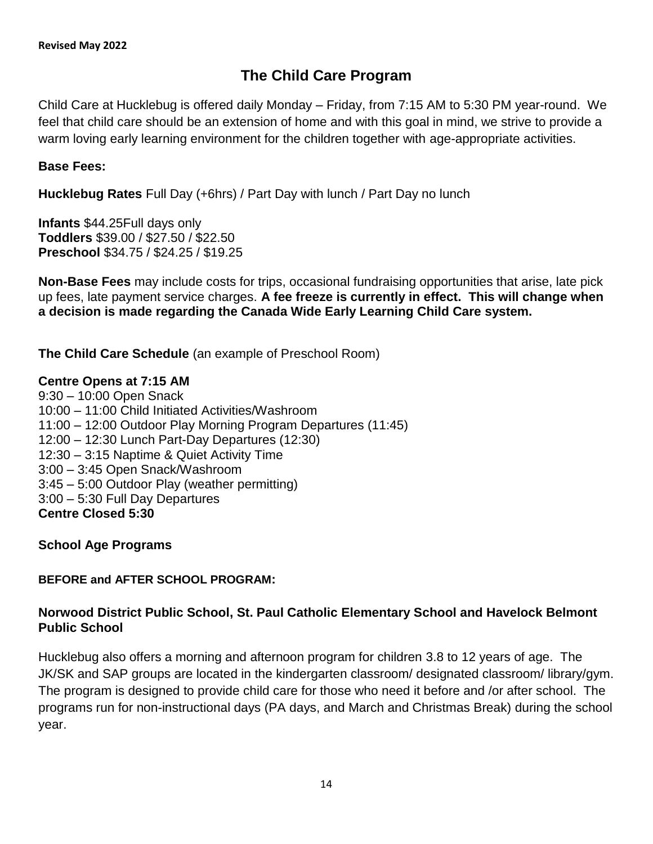# **The Child Care Program**

Child Care at Hucklebug is offered daily Monday – Friday, from 7:15 AM to 5:30 PM year-round. We feel that child care should be an extension of home and with this goal in mind, we strive to provide a warm loving early learning environment for the children together with age-appropriate activities.

### **Base Fees:**

**Hucklebug Rates** Full Day (+6hrs) / Part Day with lunch / Part Day no lunch

**Infants** \$44.25Full days only **Toddlers** \$39.00 / \$27.50 / \$22.50 **Preschool** \$34.75 / \$24.25 / \$19.25

**Non-Base Fees** may include costs for trips, occasional fundraising opportunities that arise, late pick up fees, late payment service charges. **A fee freeze is currently in effect. This will change when a decision is made regarding the Canada Wide Early Learning Child Care system.**

**The Child Care Schedule** (an example of Preschool Room)

#### **Centre Opens at 7:15 AM**

9:30 – 10:00 Open Snack 10:00 – 11:00 Child Initiated Activities/Washroom 11:00 – 12:00 Outdoor Play Morning Program Departures (11:45) 12:00 – 12:30 Lunch Part-Day Departures (12:30) 12:30 – 3:15 Naptime & Quiet Activity Time 3:00 – 3:45 Open Snack/Washroom 3:45 – 5:00 Outdoor Play (weather permitting) 3:00 – 5:30 Full Day Departures **Centre Closed 5:30**

**School Age Programs**

#### **BEFORE and AFTER SCHOOL PROGRAM:**

### **Norwood District Public School, St. Paul Catholic Elementary School and Havelock Belmont Public School**

Hucklebug also offers a morning and afternoon program for children 3.8 to 12 years of age. The JK/SK and SAP groups are located in the kindergarten classroom/ designated classroom/ library/gym. The program is designed to provide child care for those who need it before and /or after school. The programs run for non-instructional days (PA days, and March and Christmas Break) during the school year.